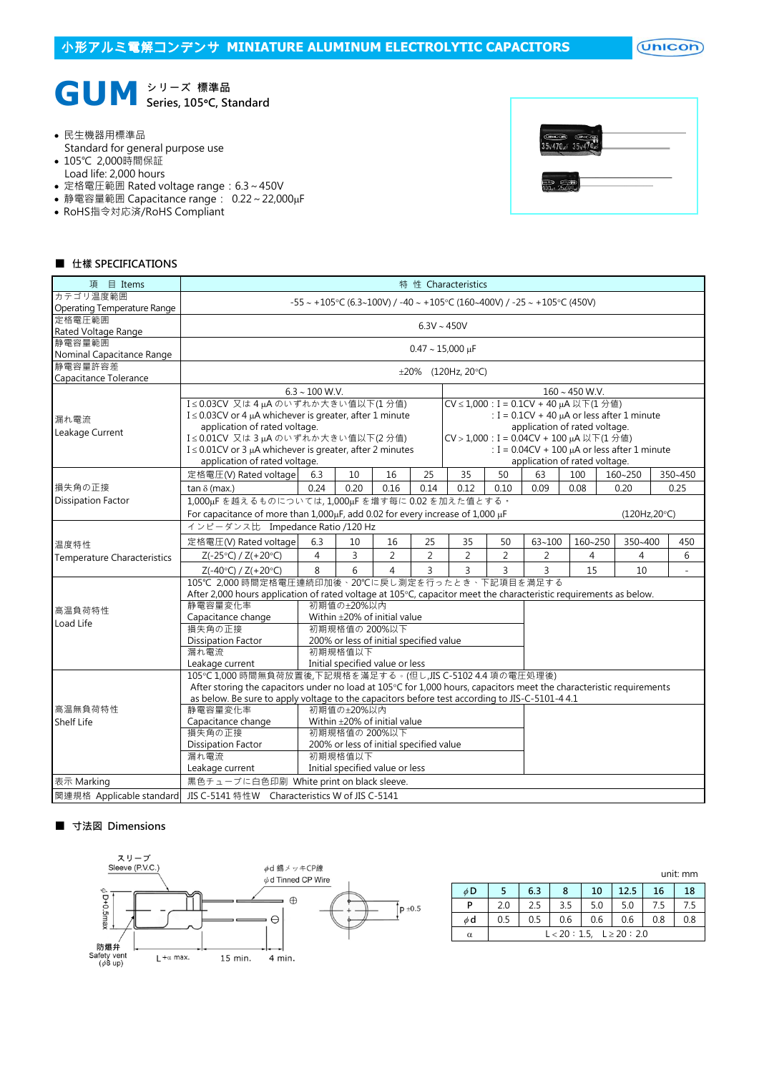$($ Unicon $)$ 



民生機器用標準品

- Standard for general purpose use
- 105℃ 2,000時間保証
- Load life: 2,000 hours
- 定格電圧範囲 Rated voltage range:6.3~450V
- 静電容量範囲 Capacitance range: 0.22~22,000µF
- RoHS指令対応済/RoHS Compliant

|                                             | $(i)$ and $o$ |  |
|---------------------------------------------|---------------|--|
| $\frac{Gm \cos \theta}{35v470 \mu}$ 35 $v4$ |               |  |
|                                             |               |  |
|                                             |               |  |
| 1000<br>1990 Gridde<br>100af 25v100         |               |  |

## ■ 仕樣 SPECIFICATIONS

| 項 目 Items                          | 特 性 Characteristics                                                                                                  |                |                                                   |                |                |                          |                |            |                                                 |                |  |         |  |  |  |
|------------------------------------|----------------------------------------------------------------------------------------------------------------------|----------------|---------------------------------------------------|----------------|----------------|--------------------------|----------------|------------|-------------------------------------------------|----------------|--|---------|--|--|--|
| カテゴリ温度範囲                           | $-55 \sim +105$ °C (6.3~100V) / -40 ~ +105°C (160~400V) / -25 ~ +105°C (450V)                                        |                |                                                   |                |                |                          |                |            |                                                 |                |  |         |  |  |  |
| Operating Temperature Range        |                                                                                                                      |                |                                                   |                |                |                          |                |            |                                                 |                |  |         |  |  |  |
| 定格電圧範囲                             |                                                                                                                      |                |                                                   |                |                | $6.3V \sim 450V$         |                |            |                                                 |                |  |         |  |  |  |
| Rated Voltage Range                |                                                                                                                      |                |                                                   |                |                |                          |                |            |                                                 |                |  |         |  |  |  |
| 静電容量範囲                             | $0.47 \sim 15,000 \,\mu F$                                                                                           |                |                                                   |                |                |                          |                |            |                                                 |                |  |         |  |  |  |
| Nominal Capacitance Range          |                                                                                                                      |                |                                                   |                |                |                          |                |            |                                                 |                |  |         |  |  |  |
| 静電容量許容差                            |                                                                                                                      |                |                                                   |                |                | $\pm 20\%$ (120Hz, 20°C) |                |            |                                                 |                |  |         |  |  |  |
| Capacitance Tolerance              |                                                                                                                      |                |                                                   |                |                |                          |                |            |                                                 |                |  |         |  |  |  |
|                                    | $6.3 \sim 100$ W.V.                                                                                                  |                | $160 - 450$ W.V.                                  |                |                |                          |                |            |                                                 |                |  |         |  |  |  |
|                                    | I≤0.03CV 又は4µAのいずれか大きい値以下(1分値)                                                                                       |                |                                                   |                |                |                          |                |            | CV ≤ 1,000 : I = 0.1CV + 40 µA 以下(1 分值)         |                |  |         |  |  |  |
| 漏れ電流                               | I $\leq$ 0.03CV or 4 µA whichever is greater, after 1 minute                                                         |                |                                                   |                |                |                          |                |            | : $I = 0.1CV + 40 \mu A$ or less after 1 minute |                |  |         |  |  |  |
| Leakage Current                    | application of rated voltage.                                                                                        |                |                                                   |                |                |                          |                |            | application of rated voltage.                   |                |  |         |  |  |  |
|                                    | I≤0.01CV 又は3µAのいずれか大きい値以下(2分値)                                                                                       |                |                                                   |                |                |                          |                |            | CV > 1,000 : I = 0.04CV + 100 µA 以下(1分値)        |                |  |         |  |  |  |
|                                    | $I \leq 0.01$ CV or 3 µA whichever is greater, after 2 minutes                                                       |                | : $I = 0.04CV + 100 \mu A$ or less after 1 minute |                |                |                          |                |            |                                                 |                |  |         |  |  |  |
|                                    | application of rated voltage.                                                                                        |                |                                                   |                |                |                          |                |            | application of rated voltage.                   |                |  |         |  |  |  |
|                                    | 定格電圧(V) Rated voltage                                                                                                | 6.3            | 10                                                | 16             | 25             | 35                       | 50             | 63         | 100                                             | 160~250        |  | 350~450 |  |  |  |
| 損失角の正接                             | tan $\delta$ (max.)                                                                                                  | 0.24           | 0.20                                              | 0.16           | 0.14           | 0.12                     | 0.10           | 0.09       | 0.08                                            | 0.20           |  | 0.25    |  |  |  |
| <b>Dissipation Factor</b>          | 1,000µFを越えるものについては,1,000µFを増す每に0.02を加えた値とする。                                                                         |                |                                                   |                |                |                          |                |            |                                                 |                |  |         |  |  |  |
|                                    | For capacitance of more than $1,000\mu$ F, add 0.02 for every increase of $1,000\mu$ F<br>(120Hz,20°C)               |                |                                                   |                |                |                          |                |            |                                                 |                |  |         |  |  |  |
|                                    | インピーダンス比 Impedance Ratio /120 Hz                                                                                     |                |                                                   |                |                |                          |                |            |                                                 |                |  |         |  |  |  |
| 温度特性                               | 定格電圧(V) Rated voltage                                                                                                | 6.3            | 10                                                | 16             | 25             | 35                       | 50             | $63 - 100$ | 160~250                                         | 350~400        |  | 450     |  |  |  |
| <b>Temperature Characteristics</b> | $Z(-25°C) / Z(+20°C)$                                                                                                | $\overline{4}$ | 3                                                 | $\overline{2}$ | $\overline{2}$ | $\overline{2}$           | $\overline{2}$ | 2          | 4                                               | $\overline{4}$ |  | 6       |  |  |  |
|                                    | $Z(-40°C) / Z(+20°C)$                                                                                                | 8              | 6                                                 | $\overline{4}$ | 3              | 3                        | 3              | 3          | 15                                              | 10             |  |         |  |  |  |
|                                    | 105℃ 2.000 時間定格電圧連続印加後、20℃に戻し測定を行ったとき、下記項目を満足する                                                                      |                |                                                   |                |                |                          |                |            |                                                 |                |  |         |  |  |  |
|                                    | After 2,000 hours application of rated voltage at 105°C, capacitor meet the characteristic requirements as below.    |                |                                                   |                |                |                          |                |            |                                                 |                |  |         |  |  |  |
| 高温負荷特性                             | 静電容量変化率                                                                                                              |                | 初期值の±20%以内                                        |                |                |                          |                |            |                                                 |                |  |         |  |  |  |
| Load Life                          | Capacitance change                                                                                                   |                | Within ±20% of initial value                      |                |                |                          |                |            |                                                 |                |  |         |  |  |  |
|                                    | 損失角の正接                                                                                                               |                | 初期規格值の 200%以下                                     |                |                |                          |                |            |                                                 |                |  |         |  |  |  |
|                                    | <b>Dissipation Factor</b><br>200% or less of initial specified value                                                 |                |                                                   |                |                |                          |                |            |                                                 |                |  |         |  |  |  |
|                                    | 漏れ電流                                                                                                                 |                |                                                   |                |                |                          |                |            |                                                 |                |  |         |  |  |  |
|                                    | Leakage current                                                                                                      |                | Initial specified value or less                   |                |                |                          |                |            |                                                 |                |  |         |  |  |  |
|                                    | 105℃1,000 時間無負荷放置後,下記規格を滿足する。(但し,JIS C-5102 4.4 項の電圧処理後)                                                             |                |                                                   |                |                |                          |                |            |                                                 |                |  |         |  |  |  |
|                                    | After storing the capacitors under no load at 105°C for 1,000 hours, capacitors meet the characteristic requirements |                |                                                   |                |                |                          |                |            |                                                 |                |  |         |  |  |  |
|                                    | as below. Be sure to apply voltage to the capacitors before test according to JIS-C-5101-44.1                        |                |                                                   |                |                |                          |                |            |                                                 |                |  |         |  |  |  |
| 高温無負荷特性                            | 静電容量変化率<br>初期值の±20%以内                                                                                                |                |                                                   |                |                |                          |                |            |                                                 |                |  |         |  |  |  |
| Shelf Life                         | Capacitance change                                                                                                   |                | Within ±20% of initial value                      |                |                |                          |                |            |                                                 |                |  |         |  |  |  |
|                                    | 損失角の正接                                                                                                               |                | 初期規格値の 200%以下                                     |                |                |                          |                |            |                                                 |                |  |         |  |  |  |
|                                    | <b>Dissipation Factor</b>                                                                                            |                | 200% or less of initial specified value           |                |                |                          |                |            |                                                 |                |  |         |  |  |  |
|                                    | 漏れ電流                                                                                                                 |                | 初期規格值以下                                           |                |                |                          |                |            |                                                 |                |  |         |  |  |  |
|                                    | Leakage current                                                                                                      |                | Initial specified value or less                   |                |                |                          |                |            |                                                 |                |  |         |  |  |  |
| 表示 Marking                         | 黒色チューブに白色印刷 White print on black sleeve.                                                                             |                |                                                   |                |                |                          |                |            |                                                 |                |  |         |  |  |  |
| 関連規格 Applicable standard           | JIS C-5141 特性W Characteristics W of JIS C-5141                                                                       |                |                                                   |                |                |                          |                |            |                                                 |                |  |         |  |  |  |

## ■ 寸法図 Dimensions



|          | unit: mm                       |     |         |     |      |     |     |  |  |  |  |  |  |
|----------|--------------------------------|-----|---------|-----|------|-----|-----|--|--|--|--|--|--|
| $\phi$ D |                                | 6.3 | 10<br>8 |     | 12.5 | 16  | 18  |  |  |  |  |  |  |
| P        | 2.0                            | 2.5 | 3.5     | 5.0 | 5.0  |     | 7.5 |  |  |  |  |  |  |
| φd       | 0.5                            | 0.5 | 0.6     | 0.6 | 0.6  | 0.8 | 0.8 |  |  |  |  |  |  |
| α        | $L < 20 : 1.5, L \ge 20 : 2.0$ |     |         |     |      |     |     |  |  |  |  |  |  |